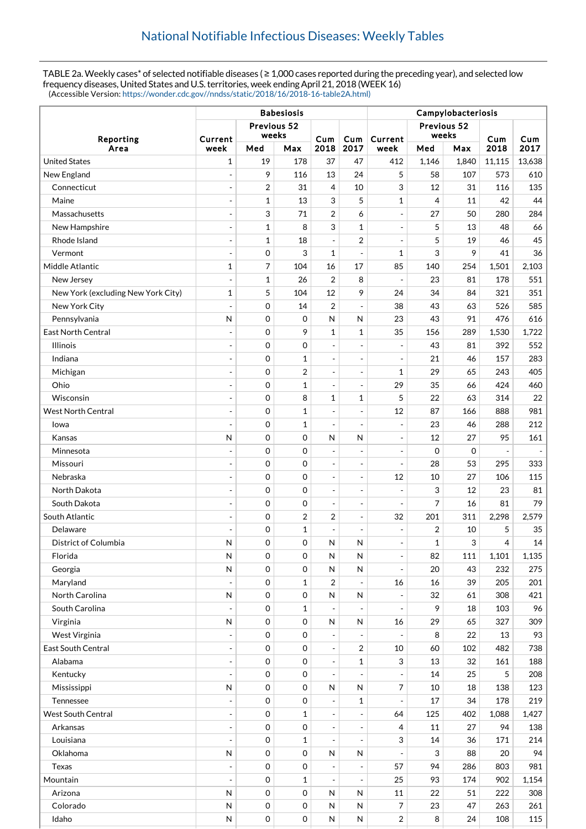TABLE 2a. Weekly cases\* of selected notifiable diseases ( ≥ 1,000 cases reported during the preceding year), and selected low frequency diseases, United States and U.S. territories, week ending April 21, 2018 (WEEK 16) (Accessible Version: [https://wonder.cdc.gov//nndss/static/2018/16/2018-16-table2A.html\)](https://wonder.cdc.gov//nndss/static/2018/16/2018-16-table2A.html)

|                                    |                                 |                | <b>Babesiosis</b> |                          |                              | Campylobacteriosis       |             |       |                          |                              |  |
|------------------------------------|---------------------------------|----------------|-------------------|--------------------------|------------------------------|--------------------------|-------------|-------|--------------------------|------------------------------|--|
| Reporting                          | Previous 52<br>weeks<br>Current |                | Cum               |                          | Current                      | Previous 52<br>weeks     |             | Cum   | Cum                      |                              |  |
| Area                               | week                            | Med            | Max               | 2018                     | Cum<br>2017                  | week                     | Med         | Max   | 2018                     | 2017                         |  |
| <b>United States</b>               | 1                               | 19             | 178               | 37                       | 47                           | 412                      | 1,146       | 1,840 | 11,115                   | 13,638                       |  |
| New England                        | $\overline{\phantom{a}}$        | 9              | 116               | 13                       | 24                           | 5                        | 58          | 107   | 573                      | 610                          |  |
| Connecticut                        | $\overline{\phantom{a}}$        | 2              | 31                | 4                        | 10                           | 3                        | 12          | 31    | 116                      | 135                          |  |
| Maine                              | $\overline{a}$                  | $\mathbf 1$    | 13                | 3                        | 5                            | $\mathbf{1}$             | 4           | 11    | 42                       | 44                           |  |
| Massachusetts                      | $\overline{\phantom{a}}$        | 3              | 71                | $\overline{2}$           | 6                            | $\blacksquare$           | 27          | 50    | 280                      | 284                          |  |
| New Hampshire                      | $\sim$                          | $\mathbf 1$    | 8                 | 3                        | 1                            | $\overline{a}$           | 5           | 13    | 48                       | 66                           |  |
| Rhode Island                       | $\overline{\phantom{a}}$        | $\mathbf{1}$   | 18                | ÷,                       | $\overline{2}$               | $\overline{\phantom{a}}$ | 5           | 19    | 46                       | 45                           |  |
| Vermont                            | $\overline{a}$                  | 0              | 3                 | $\mathbf{1}$             |                              | $\mathbf 1$              | 3           | 9     | 41                       | 36                           |  |
| Middle Atlantic                    | 1                               | $\overline{7}$ | 104               | 16                       | 17                           | 85                       | 140         | 254   | 1,501                    | 2,103                        |  |
| New Jersey                         | $\overline{\phantom{a}}$        | $\mathbf{1}$   | 26                | $\overline{2}$           | 8                            | $\overline{\phantom{a}}$ | 23          | 81    | 178                      | 551                          |  |
| New York (excluding New York City) | 1                               | 5              | 104               | 12                       | 9                            | 24                       | 34          | 84    | 321                      | 351                          |  |
| New York City                      | $\blacksquare$                  | $\mathbf 0$    | 14                | $\overline{2}$           | ÷,                           | 38                       | 43          | 63    | 526                      | 585                          |  |
| Pennsylvania                       | $\mathsf{N}$                    | $\mathbf 0$    | 0                 | $\mathsf{N}$             | N                            | 23                       | 43          | 91    | 476                      | 616                          |  |
| East North Central                 | $\blacksquare$                  | 0              | 9                 | 1                        | 1                            | 35                       | 156         | 289   | 1,530                    | 1,722                        |  |
| <b>Illinois</b>                    | $\blacksquare$                  | 0              | 0                 | $\overline{a}$           | $\overline{a}$               | $\overline{\phantom{a}}$ | 43          | 81    | 392                      | 552                          |  |
| Indiana                            | $\overline{\phantom{a}}$        | $\mathbf 0$    | $\mathbf{1}$      | $\overline{a}$           | $\overline{\phantom{a}}$     | $\overline{a}$           | 21          | 46    | 157                      | 283                          |  |
| Michigan                           | $\overline{a}$                  | 0              | $\overline{2}$    | ÷,                       | ÷,                           | $\mathbf{1}$             | 29          | 65    | 243                      | 405                          |  |
| Ohio                               | $\overline{\phantom{a}}$        | 0              | $\mathbf{1}$      | ÷,                       | $\frac{1}{2}$                | 29                       | 35          | 66    | 424                      | 460                          |  |
| Wisconsin                          | $\overline{\phantom{a}}$        | 0              | 8                 | 1                        | 1                            | 5                        | 22          | 63    | 314                      | 22                           |  |
| <b>West North Central</b>          | $\blacksquare$                  | $\mathbf 0$    | $\mathbf{1}$      | ÷,                       | $\overline{a}$               | 12                       | 87          | 166   | 888                      | 981                          |  |
| Iowa                               | ÷,                              | 0              | $\mathbf{1}$      | $\overline{a}$           | ÷,                           | $\overline{a}$           | 23          | 46    | 288                      | 212                          |  |
| Kansas                             | N                               | $\mathbf 0$    | 0                 | $\mathsf{N}$             | N                            | $\overline{\phantom{a}}$ | 12          | 27    | 95                       | 161                          |  |
| Minnesota                          | $\overline{\phantom{a}}$        | 0              | 0                 | $\overline{a}$           | ÷,                           | $\frac{1}{2}$            | $\mathbf 0$ | 0     | $\overline{\phantom{a}}$ | $\qquad \qquad \blacksquare$ |  |
| Missouri                           | $\overline{\phantom{a}}$        | 0              | 0                 | $\overline{a}$           |                              | $\overline{\phantom{a}}$ | 28          | 53    | 295                      | 333                          |  |
| Nebraska                           | $\overline{\phantom{a}}$        | 0              | 0                 | ÷,                       | $\overline{\phantom{a}}$     | 12                       | 10          | 27    | 106                      | 115                          |  |
| North Dakota                       | $\overline{a}$                  | $\mathbf 0$    | 0                 | $\overline{a}$           | ÷,                           | $\overline{a}$           | 3           | 12    | 23                       | 81                           |  |
| South Dakota                       | $\blacksquare$                  | 0              | 0                 | $\overline{a}$           | $\overline{\phantom{a}}$     | $\overline{\phantom{a}}$ | 7           | 16    | 81                       | 79                           |  |
| South Atlantic                     | $\overline{\phantom{a}}$        | 0              | $\overline{2}$    | 2                        | $\overline{\phantom{a}}$     | 32                       | 201         | 311   | 2,298                    | 2,579                        |  |
| Delaware                           | $\overline{\phantom{a}}$        | 0              | $\mathbf{1}$      | ÷,                       | $\overline{\phantom{a}}$     | $\overline{a}$           | 2           | 10    | 5                        | 35                           |  |
| District of Columbia               | N                               | 0              | 0                 | N                        | N                            | $\frac{1}{2}$            | 1           | 3     | 4                        | 14                           |  |
| Florida                            | N                               | $\mathbf 0$    | 0                 | $\mathsf{N}$             | N                            | $\overline{\phantom{0}}$ | 82          | 111   | 1,101                    | 1,135                        |  |
| Georgia                            | N                               | 0              | 0                 | $\mathsf{N}$             | N                            | $\blacksquare$           | 20          | 43    | 232                      | 275                          |  |
| Maryland                           |                                 | 0              | $\mathbf{1}$      | $\overline{2}$           |                              | 16                       | 16          | 39    | 205                      | 201                          |  |
| North Carolina                     | ${\sf N}$                       | 0              | 0                 | ${\sf N}$                | ${\sf N}$                    | $\blacksquare$           | 32          | 61    | 308                      | 421                          |  |
| South Carolina                     | $\overline{a}$                  | 0              | $\mathbf{1}$      |                          |                              |                          | 9           | 18    | 103                      | 96                           |  |
| Virginia                           | N                               | 0              | 0                 | ${\sf N}$                | N                            | 16                       | 29          | 65    | 327                      | 309                          |  |
| West Virginia                      | $\blacksquare$                  | 0              | 0                 | ÷,                       |                              | $\overline{\phantom{a}}$ | 8           | 22    | 13                       | 93                           |  |
| East South Central                 | $\Box$                          | 0              | 0                 | $\overline{\phantom{a}}$ | 2                            | 10                       | 60          | 102   | 482                      | 738                          |  |
| Alabama                            | $\overline{a}$                  | 0              | 0                 | ÷,                       | $\mathbf 1$                  | 3                        | 13          | 32    | 161                      | 188                          |  |
| Kentucky                           | $\blacksquare$                  | $\mathbf 0$    | 0                 | $\overline{\phantom{a}}$ | $\overline{a}$               | $\overline{\phantom{a}}$ | 14          | 25    | 5                        | 208                          |  |
| Mississippi                        | N                               | 0              | 0                 | $\mathsf{N}$             | N                            | 7                        | 10          | 18    | 138                      | 123                          |  |
| Tennessee                          | $\overline{\phantom{a}}$        | 0              | 0                 | $\Box$                   | 1                            | $\overline{\phantom{a}}$ | 17          | 34    | 178                      | 219                          |  |
| <b>West South Central</b>          | $\overline{\phantom{a}}$        | 0              | $\mathbf{1}$      | $\overline{a}$           | ÷,                           | 64                       | 125         | 402   | 1,088                    | 1,427                        |  |
| Arkansas                           | $\blacksquare$                  | 0              | 0                 | $\overline{\phantom{a}}$ | $\qquad \qquad \blacksquare$ | $\overline{4}$           | 11          | 27    | 94                       | 138                          |  |
| Louisiana                          | $\blacksquare$                  | 0              | $\mathbf{1}$      | $\overline{a}$           | ÷,                           | 3                        |             | 36    |                          | 214                          |  |
| Oklahoma                           | ${\sf N}$                       | 0              | 0                 | ${\sf N}$                | N                            | $\overline{\phantom{a}}$ | 14<br>3     | 88    | 171<br>20                | 94                           |  |
|                                    |                                 | 0              | 0                 |                          |                              | 57                       | 94          | 286   | 803                      | 981                          |  |
| Texas                              | $\blacksquare$                  |                |                   |                          |                              |                          |             |       |                          |                              |  |
| Mountain                           | $\overline{a}$                  | 0              | 1                 |                          |                              | 25                       | 93          | 174   | 902                      | 1,154                        |  |
| Arizona                            | N                               | $\mathbf 0$    | 0                 | ${\sf N}$                | N                            | 11                       | 22          | 51    | 222                      | 308                          |  |
| Colorado                           | ${\sf N}$                       | 0              | 0                 | $\mathsf{N}$             | N                            | 7                        | 23          | 47    | 263                      | 261                          |  |
| Idaho                              | $\sf N$                         | 0              | 0                 | ${\sf N}$                | ${\sf N}$                    | $\overline{c}$           | 8           | 24    | 108                      | 115                          |  |